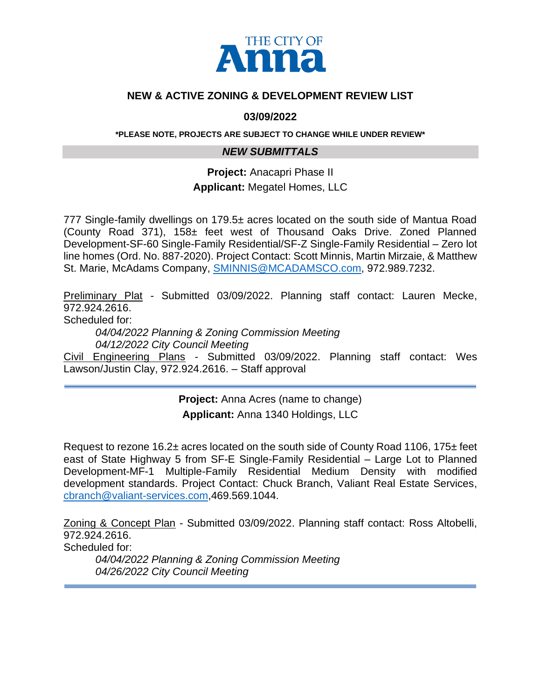

#### **NEW & ACTIVE ZONING & DEVELOPMENT REVIEW LIST**

#### **03/09/2022**

**\*PLEASE NOTE, PROJECTS ARE SUBJECT TO CHANGE WHILE UNDER REVIEW\***

#### *NEW SUBMITTALS*

**Project:** Anacapri Phase II

**Applicant:** Megatel Homes, LLC

777 Single-family dwellings on 179.5± acres located on the south side of Mantua Road (County Road 371), 158± feet west of Thousand Oaks Drive. Zoned Planned Development-SF-60 Single-Family Residential/SF-Z Single-Family Residential – Zero lot line homes (Ord. No. 887-2020). Project Contact: Scott Minnis, Martin Mirzaie, & Matthew St. Marie, McAdams Company, [SMINNIS@MCADAMSCO.com,](mailto:SMINNIS@MCADAMSCO.com) 972.989.7232.

Preliminary Plat - Submitted 03/09/2022. Planning staff contact: Lauren Mecke, 972.924.2616.

Scheduled for:

*04/04/2022 Planning & Zoning Commission Meeting 04/12/2022 City Council Meeting* 

Civil Engineering Plans - Submitted 03/09/2022. Planning staff contact: Wes Lawson/Justin Clay, 972.924.2616. – Staff approval

> **Project:** Anna Acres (name to change) **Applicant:** Anna 1340 Holdings, LLC

Request to rezone 16.2± acres located on the south side of County Road 1106, 175± feet east of State Highway 5 from SF-E Single-Family Residential – Large Lot to Planned Development-MF-1 Multiple-Family Residential Medium Density with modified development standards. Project Contact: Chuck Branch, Valiant Real Estate Services, [cbranch@valiant-services.com,](mailto:cbranch@valiant-services.com)469.569.1044.

Zoning & Concept Plan - Submitted 03/09/2022. Planning staff contact: Ross Altobelli, 972.924.2616. Scheduled for:

*04/04/2022 Planning & Zoning Commission Meeting 04/26/2022 City Council Meeting*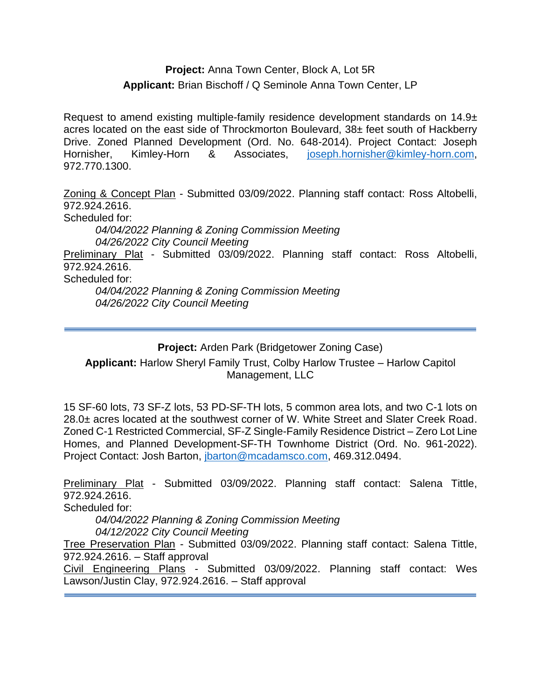## **Project:** Anna Town Center, Block A, Lot 5R **Applicant:** Brian Bischoff / Q Seminole Anna Town Center, LP

Request to amend existing multiple-family residence development standards on 14.9± acres located on the east side of Throckmorton Boulevard, 38± feet south of Hackberry Drive. Zoned Planned Development (Ord. No. 648-2014). Project Contact: Joseph Hornisher, Kimley-Horn & Associates, [joseph.hornisher@kimley-horn.com,](mailto:joseph.hornisher@kimley-horn.com) 972.770.1300.

Zoning & Concept Plan - Submitted 03/09/2022. Planning staff contact: Ross Altobelli, 972.924.2616. Scheduled for: *04/04/2022 Planning & Zoning Commission Meeting 04/26/2022 City Council Meeting*  Preliminary Plat - Submitted 03/09/2022. Planning staff contact: Ross Altobelli, 972.924.2616. Scheduled for: *04/04/2022 Planning & Zoning Commission Meeting 04/26/2022 City Council Meeting* 

## **Project:** Arden Park (Bridgetower Zoning Case)

**Applicant:** Harlow Sheryl Family Trust, Colby Harlow Trustee – Harlow Capitol Management, LLC

15 SF-60 lots, 73 SF-Z lots, 53 PD-SF-TH lots, 5 common area lots, and two C-1 lots on 28.0± acres located at the southwest corner of W. White Street and Slater Creek Road. Zoned C-1 Restricted Commercial, SF-Z Single-Family Residence District – Zero Lot Line Homes, and Planned Development-SF-TH Townhome District (Ord. No. 961-2022). Project Contact: Josh Barton, [jbarton@mcadamsco.com,](mailto:jbarton@mcadamsco.com) 469.312.0494.

Preliminary Plat - Submitted 03/09/2022. Planning staff contact: Salena Tittle, 972.924.2616.

Scheduled for:

*04/04/2022 Planning & Zoning Commission Meeting 04/12/2022 City Council Meeting* 

Tree Preservation Plan - Submitted 03/09/2022. Planning staff contact: Salena Tittle, 972.924.2616. – Staff approval

Civil Engineering Plans - Submitted 03/09/2022. Planning staff contact: Wes Lawson/Justin Clay, 972.924.2616. – Staff approval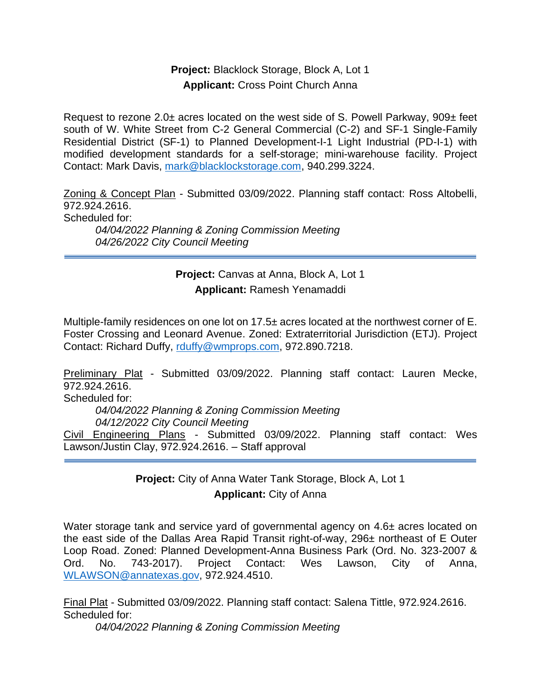#### **Project:** Blacklock Storage, Block A, Lot 1 **Applicant:** Cross Point Church Anna

Request to rezone 2.0± acres located on the west side of S. Powell Parkway, 909± feet south of W. White Street from C-2 General Commercial (C-2) and SF-1 Single-Family Residential District (SF-1) to Planned Development-I-1 Light Industrial (PD-I-1) with modified development standards for a self-storage; mini-warehouse facility. Project Contact: Mark Davis, [mark@blacklockstorage.com,](mailto:mark@blacklockstorage.com) 940.299.3224.

Zoning & Concept Plan - Submitted 03/09/2022. Planning staff contact: Ross Altobelli, 972.924.2616.

Scheduled for:

*04/04/2022 Planning & Zoning Commission Meeting 04/26/2022 City Council Meeting* 

## **Project:** Canvas at Anna, Block A, Lot 1 **Applicant:** Ramesh Yenamaddi

Multiple-family residences on one lot on 17.5± acres located at the northwest corner of E. Foster Crossing and Leonard Avenue. Zoned: Extraterritorial Jurisdiction (ETJ). Project Contact: Richard Duffy, [rduffy@wmprops.com,](mailto:rduffy@wmprops.com) 972.890.7218.

Preliminary Plat - Submitted 03/09/2022. Planning staff contact: Lauren Mecke, 972.924.2616. Scheduled for: *04/04/2022 Planning & Zoning Commission Meeting 04/12/2022 City Council Meeting*  Civil Engineering Plans - Submitted 03/09/2022. Planning staff contact: Wes Lawson/Justin Clay, 972.924.2616. – Staff approval

## **Project:** City of Anna Water Tank Storage, Block A, Lot 1 **Applicant:** City of Anna

Water storage tank and service yard of governmental agency on 4.6± acres located on the east side of the Dallas Area Rapid Transit right-of-way, 296± northeast of E Outer Loop Road. Zoned: Planned Development-Anna Business Park (Ord. No. 323-2007 & Ord. No. 743-2017). Project Contact: Wes Lawson, City of Anna, [WLAWSON@annatexas.gov,](mailto:WLAWSON@annatexas.gov) 972.924.4510.

Final Plat - Submitted 03/09/2022. Planning staff contact: Salena Tittle, 972.924.2616. Scheduled for:

*04/04/2022 Planning & Zoning Commission Meeting*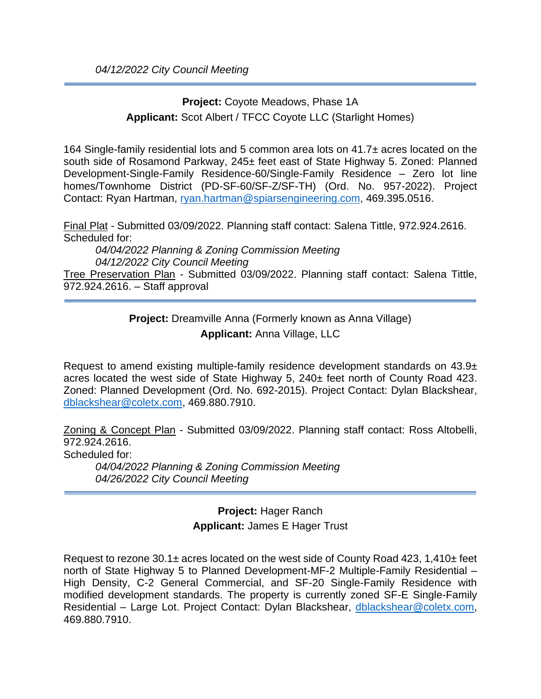# **Project:** Coyote Meadows, Phase 1A **Applicant:** Scot Albert / TFCC Coyote LLC (Starlight Homes)

164 Single-family residential lots and 5 common area lots on 41.7± acres located on the south side of Rosamond Parkway, 245± feet east of State Highway 5. Zoned: Planned Development-Single-Family Residence-60/Single-Family Residence – Zero lot line homes/Townhome District (PD-SF-60/SF-Z/SF-TH) (Ord. No. 957-2022). Project Contact: Ryan Hartman, [ryan.hartman@spiarsengineering.com,](mailto:ryan.hartman@spiarsengineering.com) 469.395.0516.

Final Plat - Submitted 03/09/2022. Planning staff contact: Salena Tittle, 972.924.2616. Scheduled for:

*04/04/2022 Planning & Zoning Commission Meeting 04/12/2022 City Council Meeting*

Tree Preservation Plan - Submitted 03/09/2022. Planning staff contact: Salena Tittle, 972.924.2616. – Staff approval

> **Project:** Dreamville Anna (Formerly known as Anna Village) **Applicant:** Anna Village, LLC

Request to amend existing multiple-family residence development standards on 43.9± acres located the west side of State Highway 5, 240± feet north of County Road 423. Zoned: Planned Development (Ord. No. 692-2015). Project Contact: Dylan Blackshear, [dblackshear@coletx.com,](mailto:dblackshear@coletx.com) 469.880.7910.

Zoning & Concept Plan - Submitted 03/09/2022. Planning staff contact: Ross Altobelli, 972.924.2616.

Scheduled for:

*04/04/2022 Planning & Zoning Commission Meeting 04/26/2022 City Council Meeting* 

> **Project:** Hager Ranch **Applicant:** James E Hager Trust

Request to rezone  $30.1\pm$  acres located on the west side of County Road 423, 1,410 $\pm$  feet north of State Highway 5 to Planned Development-MF-2 Multiple-Family Residential – High Density, C-2 General Commercial, and SF-20 Single-Family Residence with modified development standards. The property is currently zoned SF-E Single-Family Residential – Large Lot. Project Contact: Dylan Blackshear, [dblackshear@coletx.com,](mailto:dblackshear@coletx.com) 469.880.7910.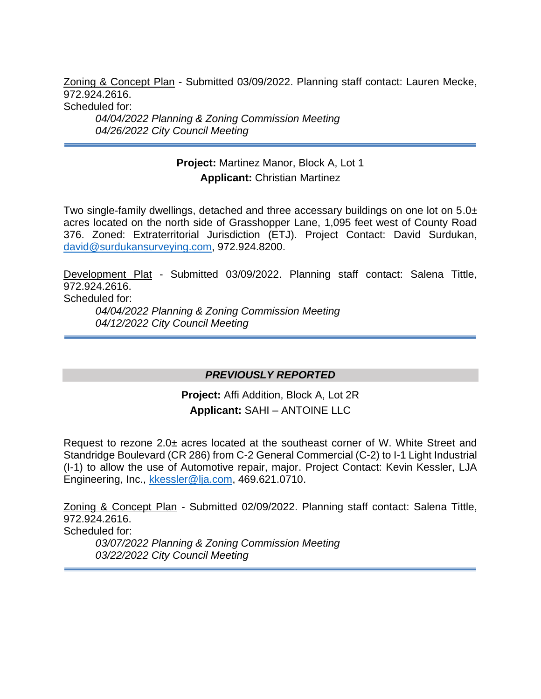Zoning & Concept Plan - Submitted 03/09/2022. Planning staff contact: Lauren Mecke, 972.924.2616.

Scheduled for:

*04/04/2022 Planning & Zoning Commission Meeting 04/26/2022 City Council Meeting* 

# **Project:** Martinez Manor, Block A, Lot 1 **Applicant:** Christian Martinez

Two single-family dwellings, detached and three accessary buildings on one lot on 5.0± acres located on the north side of Grasshopper Lane, 1,095 feet west of County Road 376. Zoned: Extraterritorial Jurisdiction (ETJ). Project Contact: David Surdukan, [david@surdukansurveying.com,](mailto:david@surdukansurveying.com) 972.924.8200.

Development Plat - Submitted 03/09/2022. Planning staff contact: Salena Tittle, 972.924.2616.

Scheduled for:

*04/04/2022 Planning & Zoning Commission Meeting 04/12/2022 City Council Meeting* 

#### *PREVIOUSLY REPORTED*

**Project:** Affi Addition, Block A, Lot 2R **Applicant:** SAHI – ANTOINE LLC

Request to rezone 2.0± acres located at the southeast corner of W. White Street and Standridge Boulevard (CR 286) from C-2 General Commercial (C-2) to I-1 Light Industrial (I-1) to allow the use of Automotive repair, major. Project Contact: Kevin Kessler, LJA Engineering, Inc., [kkessler@lja.com,](mailto:kkessler@lja.com) 469.621.0710.

Zoning & Concept Plan - Submitted 02/09/2022. Planning staff contact: Salena Tittle, 972.924.2616. Scheduled for: *03/07/2022 Planning & Zoning Commission Meeting 03/22/2022 City Council Meeting*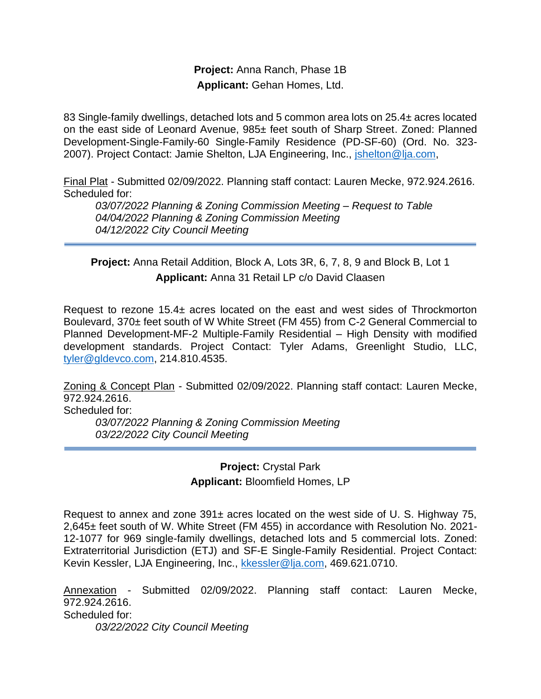#### **Project:** Anna Ranch, Phase 1B **Applicant:** Gehan Homes, Ltd.

83 Single-family dwellings, detached lots and 5 common area lots on 25.4± acres located on the east side of Leonard Avenue, 985± feet south of Sharp Street. Zoned: Planned Development-Single-Family-60 Single-Family Residence (PD-SF-60) (Ord. No. 323- 2007). Project Contact: Jamie Shelton, LJA Engineering, Inc., *jshelton@lja.com*,

Final Plat - Submitted 02/09/2022. Planning staff contact: Lauren Mecke, 972.924.2616. Scheduled for:

*03/07/2022 Planning & Zoning Commission Meeting – Request to Table 04/04/2022 Planning & Zoning Commission Meeting 04/12/2022 City Council Meeting* 

**Project:** Anna Retail Addition, Block A, Lots 3R, 6, 7, 8, 9 and Block B, Lot 1 **Applicant:** Anna 31 Retail LP c/o David Claasen

Request to rezone 15.4± acres located on the east and west sides of Throckmorton Boulevard, 370± feet south of W White Street (FM 455) from C-2 General Commercial to Planned Development-MF-2 Multiple-Family Residential – High Density with modified development standards. Project Contact: Tyler Adams, Greenlight Studio, LLC, [tyler@gldevco.com,](mailto:tyler@gldevco.com) 214.810.4535.

Zoning & Concept Plan - Submitted 02/09/2022. Planning staff contact: Lauren Mecke, 972.924.2616.

Scheduled for:

*03/07/2022 Planning & Zoning Commission Meeting 03/22/2022 City Council Meeting* 

> **Project:** Crystal Park **Applicant:** Bloomfield Homes, LP

Request to annex and zone 391± acres located on the west side of U. S. Highway 75, 2,645± feet south of W. White Street (FM 455) in accordance with Resolution No. 2021- 12-1077 for 969 single-family dwellings, detached lots and 5 commercial lots. Zoned: Extraterritorial Jurisdiction (ETJ) and SF-E Single-Family Residential. Project Contact: Kevin Kessler, LJA Engineering, Inc., [kkessler@lja.com,](mailto:kkessler@lja.com) 469.621.0710.

Annexation - Submitted 02/09/2022. Planning staff contact: Lauren Mecke, 972.924.2616. Scheduled for: *03/22/2022 City Council Meeting*